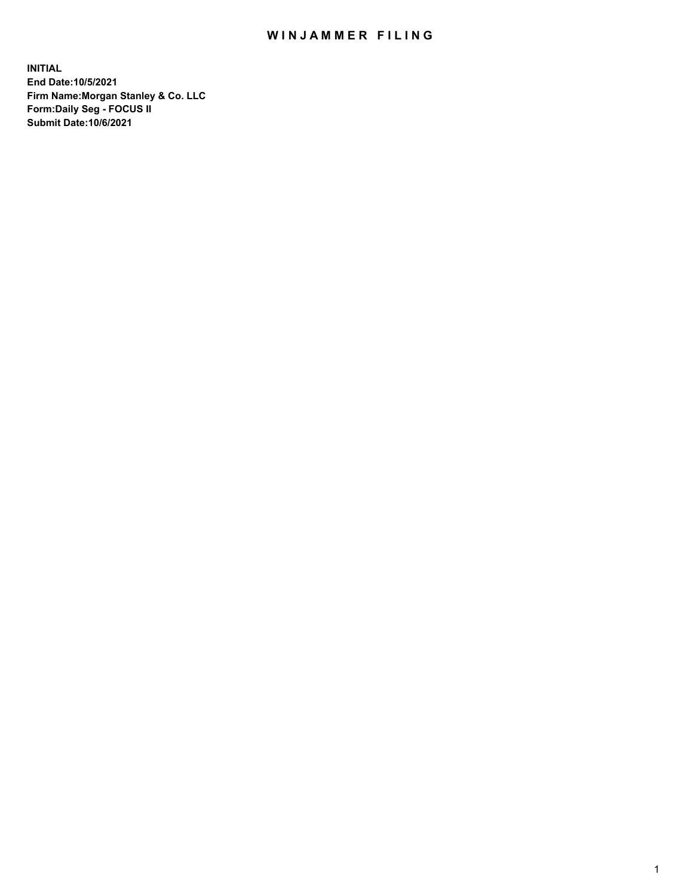## WIN JAMMER FILING

**INITIAL End Date:10/5/2021 Firm Name:Morgan Stanley & Co. LLC Form:Daily Seg - FOCUS II Submit Date:10/6/2021**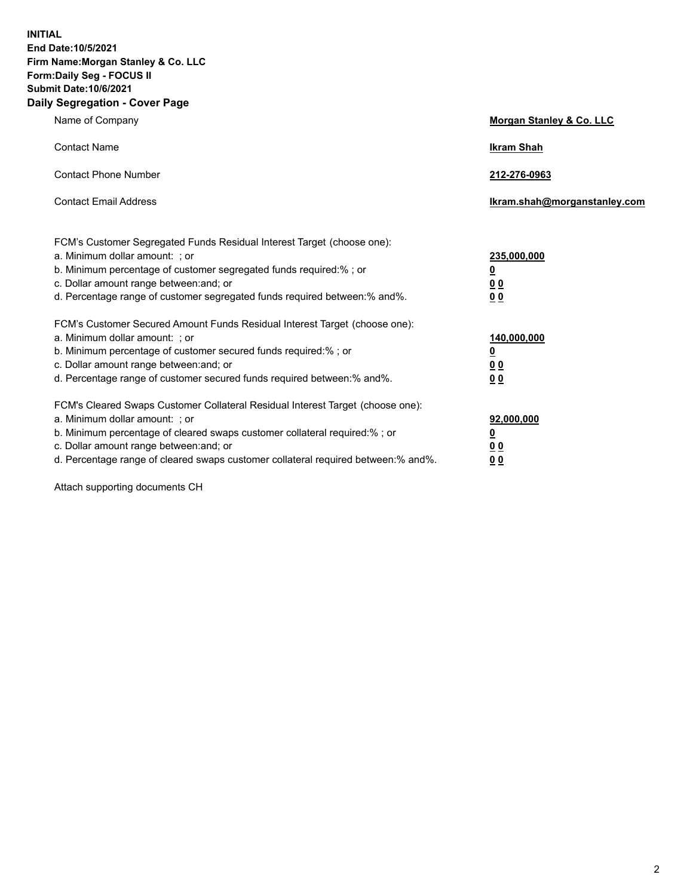**INITIAL End Date:10/5/2021 Firm Name:Morgan Stanley & Co. LLC Form:Daily Seg - FOCUS II Submit Date:10/6/2021 Daily Segregation - Cover Page**

| Name of Company                                                                                                                                                                                                                                                                                                                | <b>Morgan Stanley &amp; Co. LLC</b>                    |
|--------------------------------------------------------------------------------------------------------------------------------------------------------------------------------------------------------------------------------------------------------------------------------------------------------------------------------|--------------------------------------------------------|
| <b>Contact Name</b>                                                                                                                                                                                                                                                                                                            | <b>Ikram Shah</b>                                      |
| <b>Contact Phone Number</b>                                                                                                                                                                                                                                                                                                    | 212-276-0963                                           |
| <b>Contact Email Address</b>                                                                                                                                                                                                                                                                                                   | Ikram.shah@morganstanley.com                           |
| FCM's Customer Segregated Funds Residual Interest Target (choose one):<br>a. Minimum dollar amount: ; or<br>b. Minimum percentage of customer segregated funds required:% ; or<br>c. Dollar amount range between: and; or<br>d. Percentage range of customer segregated funds required between:% and%.                         | 235,000,000<br><u>0</u><br>0 Q<br>0 Q                  |
| FCM's Customer Secured Amount Funds Residual Interest Target (choose one):<br>a. Minimum dollar amount: ; or<br>b. Minimum percentage of customer secured funds required:% ; or<br>c. Dollar amount range between: and; or<br>d. Percentage range of customer secured funds required between: % and %.                         | 140,000,000<br><u>0</u><br><u>00</u><br>0 <sub>0</sub> |
| FCM's Cleared Swaps Customer Collateral Residual Interest Target (choose one):<br>a. Minimum dollar amount: ; or<br>b. Minimum percentage of cleared swaps customer collateral required:% ; or<br>c. Dollar amount range between: and; or<br>d. Percentage range of cleared swaps customer collateral required between:% and%. | 92,000,000<br><u>0</u><br>0 Q<br>00                    |

Attach supporting documents CH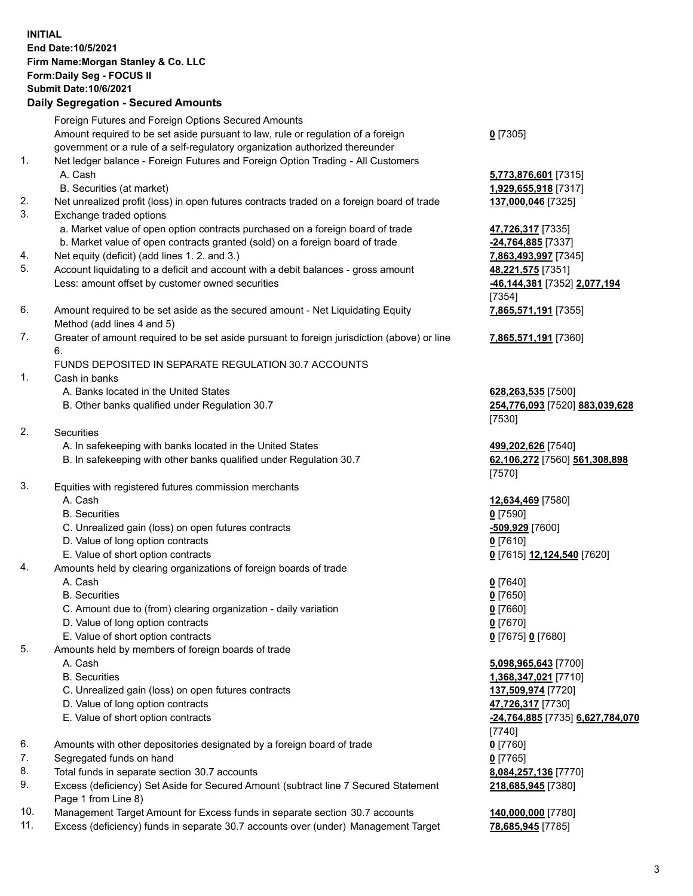## **INITIAL End Date:10/5/2021 Firm Name:Morgan Stanley & Co. LLC Form:Daily Seg - FOCUS II Submit Date:10/6/2021**

**Daily Segregation - Secured Amounts** Foreign Futures and Foreign Options Secured Amounts Amount required to be set aside pursuant to law, rule or regulation of a foreign government or a rule of a self-regulatory organization authorized thereunder 1. Net ledger balance - Foreign Futures and Foreign Option Trading - All Customers A. Cash **5,773,876,601** [7315] B. Securities (at market) **1,929,655,918** [7317] 2. Net unrealized profit (loss) in open futures contracts traded on a foreign board of trade **137,000,046** [7325] 3. Exchange traded options a. Market value of open option contracts purchased on a foreign board of trade **47,726,317** [7335] b. Market value of open contracts granted (sold) on a foreign board of trade **-24,764,885** [7337] 4. Net equity (deficit) (add lines 1. 2. and 3.) **7,863,493,997** [7345] 5. Account liquidating to a deficit and account with a debit balances - gross amount **48,221,575** [7351] Less: amount offset by customer owned securities **-46,144,381** [7352] **2,077,194** 6. Amount required to be set aside as the secured amount - Net Liquidating Equity Method (add lines 4 and 5) 7. Greater of amount required to be set aside pursuant to foreign jurisdiction (above) or line 6. FUNDS DEPOSITED IN SEPARATE REGULATION 30.7 ACCOUNTS 1. Cash in banks A. Banks located in the United States **628,263,535** [7500] B. Other banks qualified under Regulation 30.7 **254,776,093** [7520] **883,039,628** 2. Securities A. In safekeeping with banks located in the United States **499,202,626** [7540] B. In safekeeping with other banks qualified under Regulation 30.7 **62,106,272** [7560] **561,308,898** 3. Equities with registered futures commission merchants A. Cash **12,634,469** [7580] B. Securities **0** [7590] C. Unrealized gain (loss) on open futures contracts **-509,929** [7600] D. Value of long option contracts **0** [7610] E. Value of short option contracts **0** [7615] **12,124,540** [7620] 4. Amounts held by clearing organizations of foreign boards of trade A. Cash **0** [7640] B. Securities **0** [7650] C. Amount due to (from) clearing organization - daily variation **0** [7660] D. Value of long option contracts **0** [7670] E. Value of short option contracts **0** [7675] **0** [7680] 5. Amounts held by members of foreign boards of trade A. Cash **5,098,965,643** [7700]

- 
- 
- C. Unrealized gain (loss) on open futures contracts **137,509,974** [7720]
- D. Value of long option contracts **47,726,317** [7730]
- E. Value of short option contracts **-24,764,885** [7735] **6,627,784,070**
- 6. Amounts with other depositories designated by a foreign board of trade **0** [7760]
- 7. Segregated funds on hand **0** [7765]
- 8. Total funds in separate section 30.7 accounts **8,084,257,136** [7770]
- 9. Excess (deficiency) Set Aside for Secured Amount (subtract line 7 Secured Statement Page 1 from Line 8)
- 10. Management Target Amount for Excess funds in separate section 30.7 accounts **140,000,000** [7780]
- 11. Excess (deficiency) funds in separate 30.7 accounts over (under) Management Target **78,685,945** [7785]

**0** [7305]

[7354] **7,865,571,191** [7355]

**7,865,571,191** [7360]

[7530]

[7570]

 B. Securities **1,368,347,021** [7710] [7740] **218,685,945** [7380]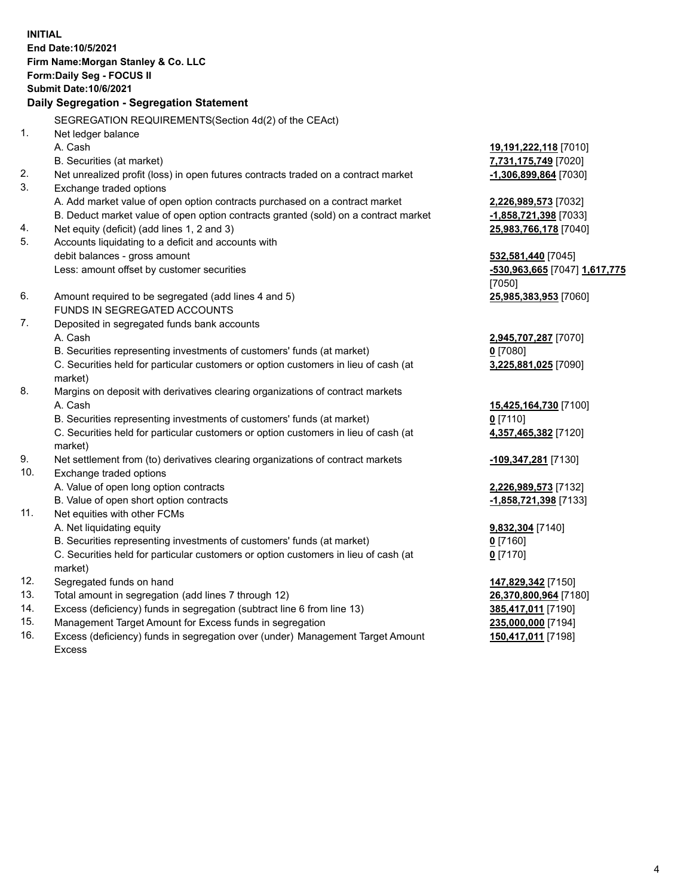**INITIAL End Date:10/5/2021 Firm Name:Morgan Stanley & Co. LLC Form:Daily Seg - FOCUS II Submit Date:10/6/2021 Daily Segregation - Segregation Statement** SEGREGATION REQUIREMENTS(Section 4d(2) of the CEAct) 1. Net ledger balance A. Cash **19,191,222,118** [7010] B. Securities (at market) **7,731,175,749** [7020] 2. Net unrealized profit (loss) in open futures contracts traded on a contract market **-1,306,899,864** [7030] 3. Exchange traded options A. Add market value of open option contracts purchased on a contract market **2,226,989,573** [7032] B. Deduct market value of open option contracts granted (sold) on a contract market **-1,858,721,398** [7033] 4. Net equity (deficit) (add lines 1, 2 and 3) **25,983,766,178** [7040] 5. Accounts liquidating to a deficit and accounts with debit balances - gross amount **532,581,440** [7045] Less: amount offset by customer securities **-530,963,665** [7047] **1,617,775** [7050] 6. Amount required to be segregated (add lines 4 and 5) **25,985,383,953** [7060] FUNDS IN SEGREGATED ACCOUNTS 7. Deposited in segregated funds bank accounts A. Cash **2,945,707,287** [7070] B. Securities representing investments of customers' funds (at market) **0** [7080] C. Securities held for particular customers or option customers in lieu of cash (at market) **3,225,881,025** [7090] 8. Margins on deposit with derivatives clearing organizations of contract markets A. Cash **15,425,164,730** [7100] B. Securities representing investments of customers' funds (at market) **0** [7110] C. Securities held for particular customers or option customers in lieu of cash (at market) **4,357,465,382** [7120] 9. Net settlement from (to) derivatives clearing organizations of contract markets **-109,347,281** [7130] 10. Exchange traded options A. Value of open long option contracts **2,226,989,573** [7132] B. Value of open short option contracts **and the set of our original contracts -1,858,721,398** [7133] 11. Net equities with other FCMs A. Net liquidating equity **9,832,304** [7140] B. Securities representing investments of customers' funds (at market) **0** [7160] C. Securities held for particular customers or option customers in lieu of cash (at market) **0** [7170] 12. Segregated funds on hand **147,829,342** [7150] 13. Total amount in segregation (add lines 7 through 12) **26,370,800,964** [7180] 14. Excess (deficiency) funds in segregation (subtract line 6 from line 13) **385,417,011** [7190] 15. Management Target Amount for Excess funds in segregation **235,000,000** [7194]

16. Excess (deficiency) funds in segregation over (under) Management Target Amount Excess

**150,417,011** [7198]